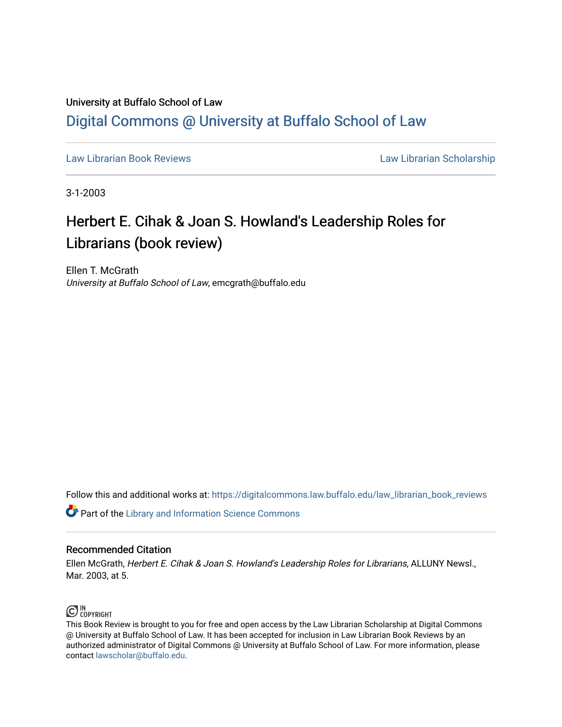### University at Buffalo School of Law [Digital Commons @ University at Buffalo School of Law](https://digitalcommons.law.buffalo.edu/)

[Law Librarian Book Reviews](https://digitalcommons.law.buffalo.edu/law_librarian_book_reviews) Law Librarian Scholarship

3-1-2003

## Herbert E. Cihak & Joan S. Howland's Leadership Roles for Librarians (book review)

Ellen T. McGrath University at Buffalo School of Law, emcgrath@buffalo.edu

Follow this and additional works at: [https://digitalcommons.law.buffalo.edu/law\\_librarian\\_book\\_reviews](https://digitalcommons.law.buffalo.edu/law_librarian_book_reviews?utm_source=digitalcommons.law.buffalo.edu%2Flaw_librarian_book_reviews%2F8&utm_medium=PDF&utm_campaign=PDFCoverPages) 

**Part of the Library and Information Science Commons** 

#### Recommended Citation

Ellen McGrath, Herbert E. Cihak & Joan S. Howland's Leadership Roles for Librarians, ALLUNY Newsl., Mar. 2003, at 5.



This Book Review is brought to you for free and open access by the Law Librarian Scholarship at Digital Commons @ University at Buffalo School of Law. It has been accepted for inclusion in Law Librarian Book Reviews by an authorized administrator of Digital Commons @ University at Buffalo School of Law. For more information, please contact [lawscholar@buffalo.edu.](mailto:lawscholar@buffalo.edu)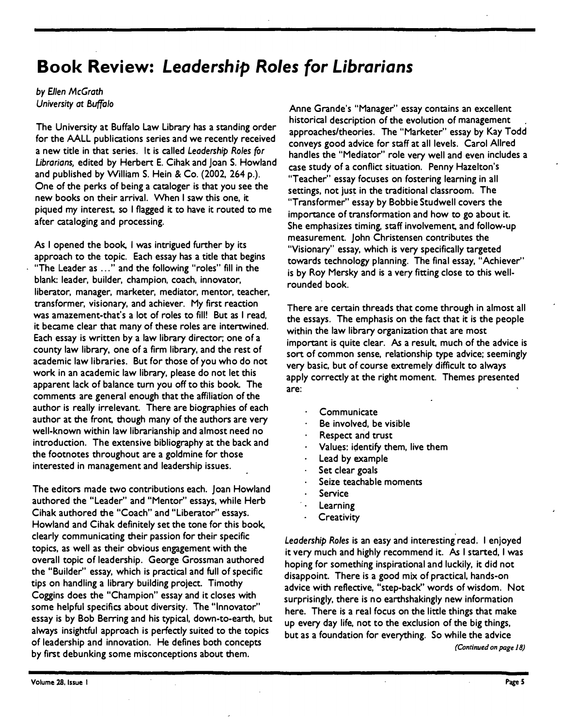# **Book Review:** *Leadership Roles for Librarians*

*by Ellen McGrath University at Buffalo* 

**The University at Buffalo Law Library has a standing order for the AALL publications series and we recently received a new title in that series. It is called** *Leadership Roles for Ubrarians,* **edited by Herbert E. Cihak and Joan S. Howland and published by William S. Hein & Co. (2002, 264 p.). One of the perks of being a cataloger is that you see the new books on their arrival. When I saw this one, it piqued** *my* **interest, so I flagged it to have it routed to me after cataloging and processing.** 

**As I opened the book, I was intrigued further by its approach to the topic. Each essay has a title that begins "The Leader as ... " and the following "roles" fill in the blank: leader, builder, champion, coach, innovator, liberator, manager, marketer, mediator, mentor, teacher, transformer, visionary, and achiever. My first reaction was amazement-that's a lot of roles to fill! But as I read, it became clear that many of these roles are intertwined. Each essay is written by a law library director; one of a county law library, one of a firm library, and the rest of academic law libraries. But for those of you who do not work in an academic law library, please do not let this apparent lack of balance turn you off to this book. The comments are general enough that the affiliation of the author is really irrelevant. There are biographies of each author at the front, though many of the authors are very well-known within law librarianship and almost need no introduction. The extensive bibliography at the back and the footnotes throughout are a goldmine for those interested in management and leadership issues.** 

**The editors made two contributions each. Joan Howland authored the "Leader" and "Mentor" essays, while Herb Cihak authored the "Coach" and "Liberator" essays. Howland and Cihak definitely set the tone for this book, clearly communicating their passion for their specific topics, as well as their obvious engagement with the overall topic of leadership. George Grossman authored the "Builder" essay, which is practical and full of specific tips on handling a library building project. Timothy Coggins does the "Champion" essay and it closes with some helpful specifics about diversity. The "Innovator" essay is by Bob Berring and his typical, down-to-earth, but always insightful approach is perfectly suited to the topics of leadership and innovation. He defines both concepts by first debunking some misconceptions about them.** 

**Anne Grande's "Manager" essay contains an excellent historical description of the evolution of management approaches/theories. The "Marketer" essay by Kay Todd conveys good advice for staff at all levels. Carol Allred handles the "Mediator" role very well and even includes a case study of a conflict situation. Penny Hazelton's "Teacher" essay focuses on fostering learning in all settings, not just in the traditional classroom. The "Transformer" essay by Bobbie Studwell covers the importance of transformation and how to go about it. She emphasizes timing, staff involvement, and follow-up measurement. John Christensen contributes the "Visionary" essay, which is very specifically targeted towards technology planning. The final essay, "Achiever" is by** *Roy* **Mersky and is a very fitting close to this wellrounded book.** 

There are certain threads that come through in almost all **the essays. The emphasis on the fact that it is the people within the law library organization that are most important is quite clear.** As **a result. much of the advice is sort of common sense, relationship type advice; seemingly very basic, but of course extremely difficult to always apply correctly at the right moment. Themes presented are:** 

- **Communicate**
- **Be involved, be visible**
- **Respect arid trust**
- **Values: identify them, live them**
- **Lead by example**
- **Set clear goals**
- **Seize teachable moments**
- **Service**
- **Learning**
- **Creativity**

Leadership Roles is an easy and interesting read. I enjoyed **it very much and highly recommend it.** As **I started, I was hoping for something inspirational and luckily, it did not disappoint. There is a good mix of practical, hands-on advice with reflective, "step-back" words of wisdom. Not surprisingly, there is no earthshakingly new information here. There is a real focus on the little things that make up every day life, not to the exclusion of the big things, but as a foundation for everything. So while the advice**  *(Continued on page 18)*